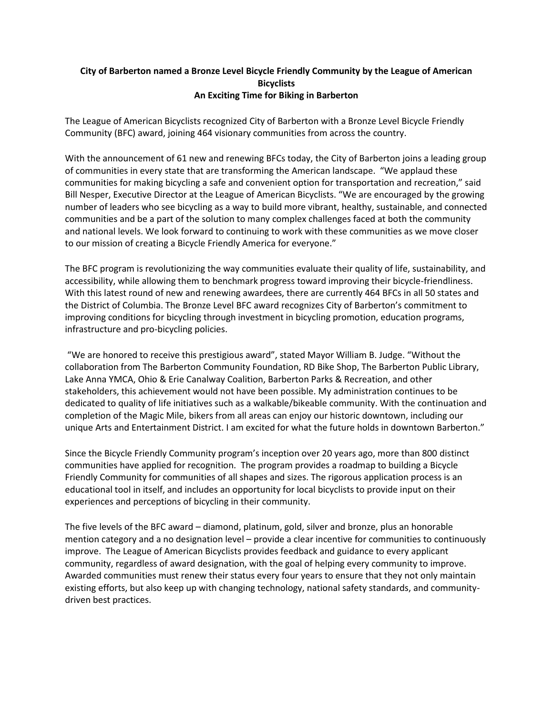## **City of Barberton named a Bronze Level Bicycle Friendly Community by the League of American Bicyclists An Exciting Time for Biking in Barberton**

The League of American Bicyclists recognized City of Barberton with a Bronze Level Bicycle Friendly Community (BFC) award, joining 464 visionary communities from across the country.

With the announcement of 61 new and renewing BFCs today, the City of Barberton joins a leading group of communities in every state that are transforming the American landscape. "We applaud these communities for making bicycling a safe and convenient option for transportation and recreation," said Bill Nesper, Executive Director at the League of American Bicyclists. "We are encouraged by the growing number of leaders who see bicycling as a way to build more vibrant, healthy, sustainable, and connected communities and be a part of the solution to many complex challenges faced at both the community and national levels. We look forward to continuing to work with these communities as we move closer to our mission of creating a Bicycle Friendly America for everyone."

The BFC program is revolutionizing the way communities evaluate their quality of life, sustainability, and accessibility, while allowing them to benchmark progress toward improving their bicycle-friendliness. With this latest round of new and renewing awardees, there are currently 464 BFCs in all 50 states and the District of Columbia. The Bronze Level BFC award recognizes City of Barberton's commitment to improving conditions for bicycling through investment in bicycling promotion, education programs, infrastructure and pro-bicycling policies.

"We are honored to receive this prestigious award", stated Mayor William B. Judge. "Without the collaboration from The Barberton Community Foundation, RD Bike Shop, The Barberton Public Library, Lake Anna YMCA, Ohio & Erie Canalway Coalition, Barberton Parks & Recreation, and other stakeholders, this achievement would not have been possible. My administration continues to be dedicated to quality of life initiatives such as a walkable/bikeable community. With the continuation and completion of the Magic Mile, bikers from all areas can enjoy our historic downtown, including our unique Arts and Entertainment District. I am excited for what the future holds in downtown Barberton."

Since the Bicycle Friendly Community program's inception over 20 years ago, more than 800 distinct communities have applied for recognition. The program provides a roadmap to building a Bicycle Friendly Community for communities of all shapes and sizes. The rigorous application process is an educational tool in itself, and includes an opportunity for local bicyclists to provide input on their experiences and perceptions of bicycling in their community.

The five levels of the BFC award – diamond, platinum, gold, silver and bronze, plus an honorable mention category and a no designation level – provide a clear incentive for communities to continuously improve. The League of American Bicyclists provides feedback and guidance to every applicant community, regardless of award designation, with the goal of helping every community to improve. Awarded communities must renew their status every four years to ensure that they not only maintain existing efforts, but also keep up with changing technology, national safety standards, and communitydriven best practices.